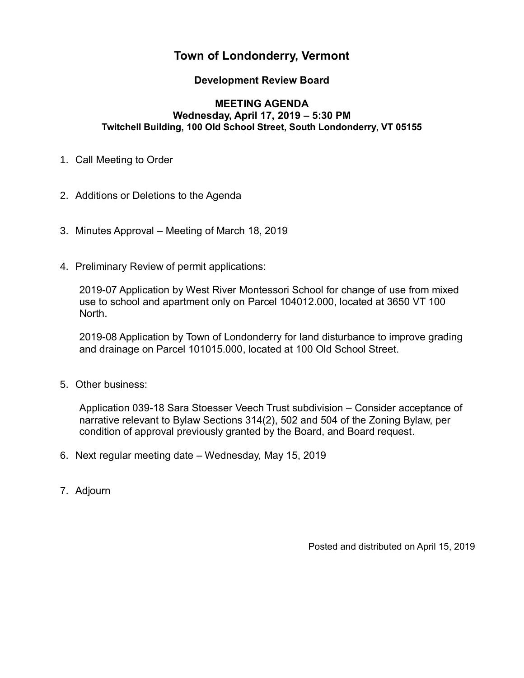# **Town of Londonderry, Vermont**

## **Development Review Board**

#### **MEETING AGENDA Wednesday, April 17, 2019 – 5:30 PM Twitchell Building, 100 Old School Street, South Londonderry, VT 05155**

- 1. Call Meeting to Order
- 2. Additions or Deletions to the Agenda
- 3. Minutes Approval Meeting of March 18, 2019
- 4. Preliminary Review of permit applications:

2019-07 Application by West River Montessori School for change of use from mixed use to school and apartment only on Parcel 104012.000, located at 3650 VT 100 North.

2019-08 Application by Town of Londonderry for land disturbance to improve grading and drainage on Parcel 101015.000, located at 100 Old School Street.

5. Other business:

Application 039-18 Sara Stoesser Veech Trust subdivision – Consider acceptance of narrative relevant to Bylaw Sections 314(2), 502 and 504 of the Zoning Bylaw, per condition of approval previously granted by the Board, and Board request.

- 6. Next regular meeting date Wednesday, May 15, 2019
- 7. Adjourn

Posted and distributed on April 15, 2019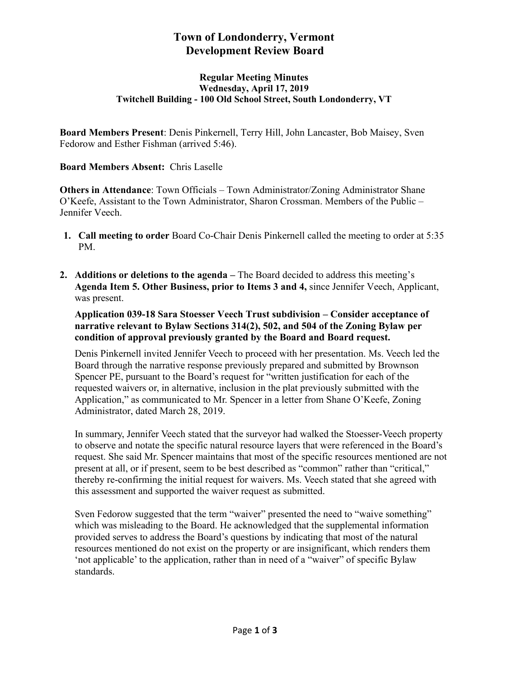# **Town of Londonderry, Vermont Development Review Board**

#### **Regular Meeting Minutes Wednesday, April 17, 2019 Twitchell Building - 100 Old School Street, South Londonderry, VT**

**Board Members Present**: Denis Pinkernell, Terry Hill, John Lancaster, Bob Maisey, Sven Fedorow and Esther Fishman (arrived 5:46).

#### **Board Members Absent:** Chris Laselle

**Others in Attendance**: Town Officials – Town Administrator/Zoning Administrator Shane O'Keefe, Assistant to the Town Administrator, Sharon Crossman. Members of the Public – Jennifer Veech.

- **1. Call meeting to order** Board Co-Chair Denis Pinkernell called the meeting to order at 5:35 PM.
- **2. Additions or deletions to the agenda –** The Board decided to address this meeting's **Agenda Item 5. Other Business, prior to Items 3 and 4,** since Jennifer Veech, Applicant, was present.

**Application 039-18 Sara Stoesser Veech Trust subdivision – Consider acceptance of narrative relevant to Bylaw Sections 314(2), 502, and 504 of the Zoning Bylaw per condition of approval previously granted by the Board and Board request.**

Denis Pinkernell invited Jennifer Veech to proceed with her presentation. Ms. Veech led the Board through the narrative response previously prepared and submitted by Brownson Spencer PE, pursuant to the Board's request for "written justification for each of the requested waivers or, in alternative, inclusion in the plat previously submitted with the Application," as communicated to Mr. Spencer in a letter from Shane O'Keefe, Zoning Administrator, dated March 28, 2019.

In summary, Jennifer Veech stated that the surveyor had walked the Stoesser-Veech property to observe and notate the specific natural resource layers that were referenced in the Board's request. She said Mr. Spencer maintains that most of the specific resources mentioned are not present at all, or if present, seem to be best described as "common" rather than "critical," thereby re-confirming the initial request for waivers. Ms. Veech stated that she agreed with this assessment and supported the waiver request as submitted.

Sven Fedorow suggested that the term "waiver" presented the need to "waive something" which was misleading to the Board. He acknowledged that the supplemental information provided serves to address the Board's questions by indicating that most of the natural resources mentioned do not exist on the property or are insignificant, which renders them 'not applicable' to the application, rather than in need of a "waiver" of specific Bylaw standards.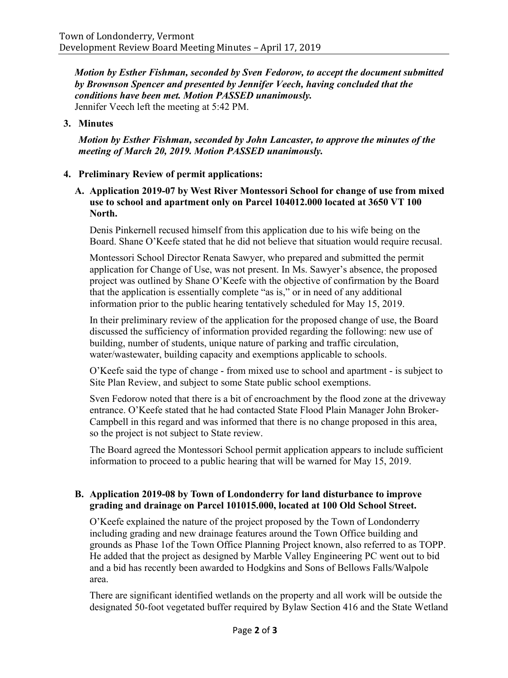*Motion by Esther Fishman, seconded by Sven Fedorow, to accept the document submitted by Brownson Spencer and presented by Jennifer Veech, having concluded that the conditions have been met. Motion PASSED unanimously.* Jennifer Veech left the meeting at 5:42 PM.

### **3. Minutes**

*Motion by Esther Fishman, seconded by John Lancaster, to approve the minutes of the meeting of March 20, 2019. Motion PASSED unanimously.* 

## **4. Preliminary Review of permit applications:**

**A. Application 2019-07 by West River Montessori School for change of use from mixed use to school and apartment only on Parcel 104012.000 located at 3650 VT 100 North.** 

Denis Pinkernell recused himself from this application due to his wife being on the Board. Shane O'Keefe stated that he did not believe that situation would require recusal.

Montessori School Director Renata Sawyer, who prepared and submitted the permit application for Change of Use, was not present. In Ms. Sawyer's absence, the proposed project was outlined by Shane O'Keefe with the objective of confirmation by the Board that the application is essentially complete "as is," or in need of any additional information prior to the public hearing tentatively scheduled for May 15, 2019.

In their preliminary review of the application for the proposed change of use, the Board discussed the sufficiency of information provided regarding the following: new use of building, number of students, unique nature of parking and traffic circulation, water/wastewater, building capacity and exemptions applicable to schools.

O'Keefe said the type of change - from mixed use to school and apartment - is subject to Site Plan Review, and subject to some State public school exemptions.

Sven Fedorow noted that there is a bit of encroachment by the flood zone at the driveway entrance. O'Keefe stated that he had contacted State Flood Plain Manager John Broker-Campbell in this regard and was informed that there is no change proposed in this area, so the project is not subject to State review.

The Board agreed the Montessori School permit application appears to include sufficient information to proceed to a public hearing that will be warned for May 15, 2019.

#### **B. Application 2019-08 by Town of Londonderry for land disturbance to improve grading and drainage on Parcel 101015.000, located at 100 Old School Street.**

O'Keefe explained the nature of the project proposed by the Town of Londonderry including grading and new drainage features around the Town Office building and grounds as Phase 1of the Town Office Planning Project known, also referred to as TOPP. He added that the project as designed by Marble Valley Engineering PC went out to bid and a bid has recently been awarded to Hodgkins and Sons of Bellows Falls/Walpole area.

There are significant identified wetlands on the property and all work will be outside the designated 50-foot vegetated buffer required by Bylaw Section 416 and the State Wetland